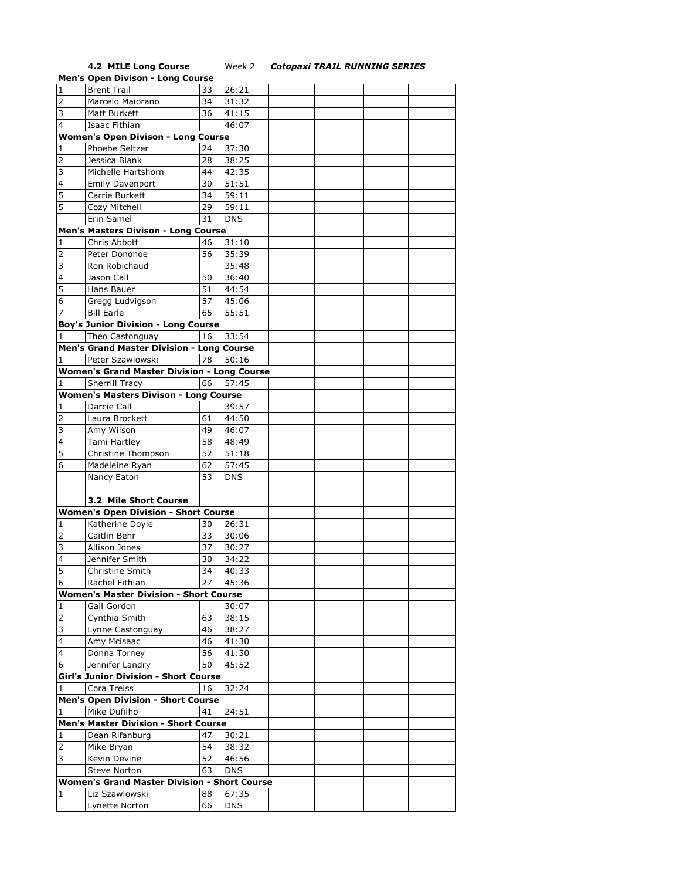**4.2 MILE Long Course** Week 2 *Cotopaxi TRAIL RUNNING SERIES*

|                                           | <b>Men's Open Divison - Long Course</b>             |    |            |  |  |  |  |  |  |  |
|-------------------------------------------|-----------------------------------------------------|----|------------|--|--|--|--|--|--|--|
| $\overline{1}$                            | <b>Brent Trail</b>                                  | 33 | 26:21      |  |  |  |  |  |  |  |
| $\overline{2}$                            | Marcelo Maiorano                                    | 34 | 31:32      |  |  |  |  |  |  |  |
| 3                                         | Matt Burkett                                        | 36 | 41:15      |  |  |  |  |  |  |  |
| 4                                         | Isaac Fithian                                       |    | 46:07      |  |  |  |  |  |  |  |
|                                           |                                                     |    |            |  |  |  |  |  |  |  |
| <b>Women's Open Divison - Long Course</b> |                                                     |    |            |  |  |  |  |  |  |  |
| 1                                         | Phoebe Seltzer                                      | 24 | 37:30      |  |  |  |  |  |  |  |
| 2                                         | Jessica Blank                                       | 28 | 38:25      |  |  |  |  |  |  |  |
| 3                                         | Michelle Hartshorn                                  | 44 | 42:35      |  |  |  |  |  |  |  |
| $\overline{4}$                            | <b>Emily Davenport</b>                              | 30 | 51:51      |  |  |  |  |  |  |  |
| 5                                         | Carrie Burkett                                      | 34 | 59:11      |  |  |  |  |  |  |  |
| 5                                         | Cozy Mitchell                                       | 29 | 59:11      |  |  |  |  |  |  |  |
|                                           | Erin Samel                                          | 31 | <b>DNS</b> |  |  |  |  |  |  |  |
|                                           | Men's Masters Divison - Long Course                 |    |            |  |  |  |  |  |  |  |
| 1                                         | Chris Abbott                                        | 46 | 31:10      |  |  |  |  |  |  |  |
|                                           |                                                     |    |            |  |  |  |  |  |  |  |
| $\overline{2}$                            | Peter Donohoe                                       | 56 | 35:39      |  |  |  |  |  |  |  |
| 3                                         | Ron Robichaud                                       |    | 35:48      |  |  |  |  |  |  |  |
| 4                                         | Jason Call                                          | 50 | 36:40      |  |  |  |  |  |  |  |
| 5                                         | Hans Bauer                                          | 51 | 44:54      |  |  |  |  |  |  |  |
| 6                                         | Gregg Ludvigson                                     | 57 | 45:06      |  |  |  |  |  |  |  |
| 7                                         | <b>Bill Earle</b>                                   | 65 | 55:51      |  |  |  |  |  |  |  |
|                                           | <b>Boy's Junior Division - Long Course</b>          |    |            |  |  |  |  |  |  |  |
| 1                                         | Theo Castonguay                                     | 16 | 33:54      |  |  |  |  |  |  |  |
|                                           | Men's Grand Master Division - Long Course           |    |            |  |  |  |  |  |  |  |
|                                           | Peter Szawlowski                                    | 78 | 50:16      |  |  |  |  |  |  |  |
|                                           | <b>Women's Grand Master Division - Long Course</b>  |    |            |  |  |  |  |  |  |  |
| 1                                         | <b>Sherrill Tracy</b>                               | 66 | 57:45      |  |  |  |  |  |  |  |
|                                           |                                                     |    |            |  |  |  |  |  |  |  |
|                                           | <b>Women's Masters Divison - Long Course</b>        |    |            |  |  |  |  |  |  |  |
| 1                                         | Darcie Call                                         |    | 39:57      |  |  |  |  |  |  |  |
| $\overline{2}$                            | Laura Brockett                                      | 61 | 44:50      |  |  |  |  |  |  |  |
| 3                                         | Amy Wilson                                          | 49 | 46:07      |  |  |  |  |  |  |  |
| 4                                         | Tami Hartley                                        | 58 | 48:49      |  |  |  |  |  |  |  |
| 5                                         | Christine Thompson                                  | 52 | 51:18      |  |  |  |  |  |  |  |
| 6                                         | Madeleine Ryan                                      | 62 | 57:45      |  |  |  |  |  |  |  |
|                                           | Nancy Eaton                                         | 53 | <b>DNS</b> |  |  |  |  |  |  |  |
|                                           |                                                     |    |            |  |  |  |  |  |  |  |
|                                           | 3.2 Mile Short Course                               |    |            |  |  |  |  |  |  |  |
|                                           | <b>Women's Open Division - Short Course</b>         |    |            |  |  |  |  |  |  |  |
| 1                                         | Katherine Doyle                                     | 30 | 26:31      |  |  |  |  |  |  |  |
| $\overline{2}$                            | Caitlin Behr                                        | 33 | 30:06      |  |  |  |  |  |  |  |
| 3                                         | Allison Jones                                       | 37 | 30:27      |  |  |  |  |  |  |  |
| $\overline{4}$                            | Jennifer Smith                                      |    | 34:22      |  |  |  |  |  |  |  |
| $\overline{5}$                            |                                                     | 30 |            |  |  |  |  |  |  |  |
|                                           | Christine Smith                                     | 34 | 40:33      |  |  |  |  |  |  |  |
| 6                                         | Rachel Fithian                                      | 27 | 45:36      |  |  |  |  |  |  |  |
|                                           | <b>Women's Master Division - Short Course</b>       |    |            |  |  |  |  |  |  |  |
| 1                                         | Gail Gordon                                         |    | 30:07      |  |  |  |  |  |  |  |
| 2                                         | Cynthia Smith                                       | 63 | 38:15      |  |  |  |  |  |  |  |
| 3                                         | Lynne Castonguay                                    | 46 | 38:27      |  |  |  |  |  |  |  |
| $\overline{\mathbf{4}}$                   | Amy Mcisaac                                         | 46 | 41:30      |  |  |  |  |  |  |  |
| $\overline{a}$                            | Donna Torney                                        | 56 | 41:30      |  |  |  |  |  |  |  |
| $\overline{6}$                            | Jennifer Landry                                     | 50 | 45:52      |  |  |  |  |  |  |  |
|                                           | <b>Girl's Junior Division - Short Course</b>        |    |            |  |  |  |  |  |  |  |
| 1                                         | Cora Treiss                                         | 16 | 32:24      |  |  |  |  |  |  |  |
|                                           | <b>Men's Open Division - Short Course</b>           |    |            |  |  |  |  |  |  |  |
|                                           |                                                     |    |            |  |  |  |  |  |  |  |
| 1                                         | Mike Dufilho                                        | 41 | 24:51      |  |  |  |  |  |  |  |
|                                           | <b>Men's Master Division - Short Course</b>         |    |            |  |  |  |  |  |  |  |
| 1                                         | Dean Rifanburg                                      | 47 | 30:21      |  |  |  |  |  |  |  |
| 2                                         | Mike Bryan                                          | 54 | 38:32      |  |  |  |  |  |  |  |
| 3                                         | Kevin Devine                                        | 52 | 46:56      |  |  |  |  |  |  |  |
|                                           | Steve Norton                                        | 63 | <b>DNS</b> |  |  |  |  |  |  |  |
|                                           | <b>Women's Grand Master Division - Short Course</b> |    |            |  |  |  |  |  |  |  |
| 1                                         | Liz Szawlowski                                      | 88 | 67:35      |  |  |  |  |  |  |  |
|                                           | Lynette Norton                                      | 66 | <b>DNS</b> |  |  |  |  |  |  |  |